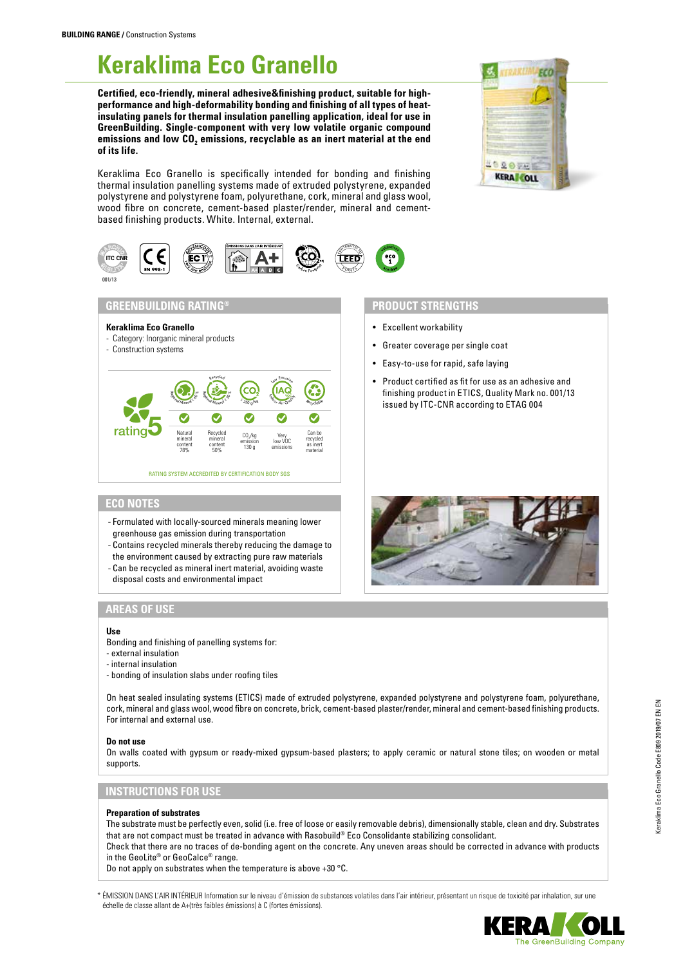# **Keraklima Eco Granello**

**Certified, eco-friendly, mineral adhesive&finishing product, suitable for highperformance and high-deformability bonding and finishing of all types of heatinsulating panels for thermal insulation panelling application, ideal for use in GreenBuilding. Single-component with very low volatile organic compound**  emissions and low CO<sub>2</sub> emissions, recyclable as an inert material at the end **of its life.**

Keraklima Eco Granello is specifically intended for bonding and finishing thermal insulation panelling systems made of extruded polystyrene, expanded polystyrene and polystyrene foam, polyurethane, cork, mineral and glass wool, wood fibre on concrete, cement-based plaster/render, mineral and cementbased finishing products. White. Internal, external.



# **GREENBUILDING RATING®**

- **Keraklima Eco Granello**
- Category: Inorganic mineral products
- Construction systems



# **PRODUCT STRENGTHS**

- Excellent workability
- Greater coverage per single coat
- Easy-to-use for rapid, safe laying
- Product certified as fit for use as an adhesive and finishing product in ETICS, Quality Mark no. 001/13 issued by ITC-CNR according to ETAG 004

**FCO** 

**SERGER KERA COLL** 

# **ECO NOTES**

- Formulated with locally-sourced minerals meaning lower greenhouse gas emission during transportation
- Contains recycled minerals thereby reducing the damage to
- the environment caused by extracting pure raw materials - Can be recycled as mineral inert material, avoiding waste
- disposal costs and environmental impact

# **AREAS OF USE**

#### **Use**

Bonding and finishing of panelling systems for:

- external insulation
- internal insulation
- bonding of insulation slabs under roofing tiles

On heat sealed insulating systems (ETICS) made of extruded polystyrene, expanded polystyrene and polystyrene foam, polyurethane, cork, mineral and glass wool, wood fibre on concrete, brick, cement-based plaster/render, mineral and cement-based finishing products. For internal and external use.

#### **Do not use**

On walls coated with gypsum or ready-mixed gypsum-based plasters; to apply ceramic or natural stone tiles; on wooden or metal supports.

# **INSTRUCTIONS FOR USE**

#### **Preparation of substrates**

The substrate must be perfectly even, solid (i.e. free of loose or easily removable debris), dimensionally stable, clean and dry. Substrates that are not compact must be treated in advance with Rasobuild® Eco Consolidante stabilizing consolidant.

Check that there are no traces of de-bonding agent on the concrete. Any uneven areas should be corrected in advance with products in the GeoLite® or GeoCalce® range.

Do not apply on substrates when the temperature is above +30 °C.

\* ÉMISSION DANS L'AIR INTÉRIEUR Information sur le niveau d'émission de substances volatiles dans l'air intérieur, présentant un risque de toxicité par inhalation, sur une échelle de classe allant de A+(très faibles émissions) à C (fortes émissions).

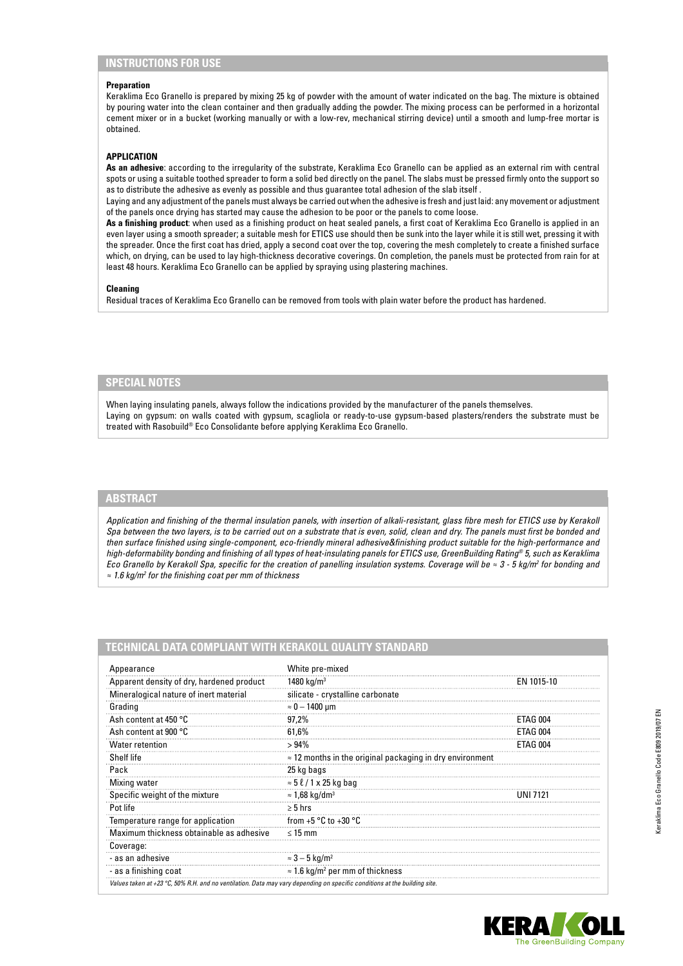# **INSTRUCTIONS FOR USE**

#### **Preparation**

Keraklima Eco Granello is prepared by mixing 25 kg of powder with the amount of water indicated on the bag. The mixture is obtained by pouring water into the clean container and then gradually adding the powder. The mixing process can be performed in a horizontal cement mixer or in a bucket (working manually or with a low-rev, mechanical stirring device) until a smooth and lump-free mortar is obtained.

## **APPLICATION**

**As an adhesive**: according to the irregularity of the substrate, Keraklima Eco Granello can be applied as an external rim with central spots or using a suitable toothed spreader to form a solid bed directly on the panel. The slabs must be pressed firmly onto the support so as to distribute the adhesive as evenly as possible and thus guarantee total adhesion of the slab itself .

Laying and any adjustment of the panels must always be carried out when the adhesive is fresh and just laid: any movement or adjustment of the panels once drying has started may cause the adhesion to be poor or the panels to come loose.

**As a finishing product**: when used as a finishing product on heat sealed panels, a first coat of Keraklima Eco Granello is applied in an even layer using a smooth spreader; a suitable mesh for ETICS use should then be sunk into the layer while it is still wet, pressing it with the spreader. Once the first coat has dried, apply a second coat over the top, covering the mesh completely to create a finished surface which, on drying, can be used to lay high-thickness decorative coverings. On completion, the panels must be protected from rain for at least 48 hours. Keraklima Eco Granello can be applied by spraying using plastering machines.

#### **Cleaning**

Residual traces of Keraklima Eco Granello can be removed from tools with plain water before the product has hardened.

## **SPECIAL NOTES**

When laying insulating panels, always follow the indications provided by the manufacturer of the panels themselves. Laying on gypsum: on walls coated with gypsum, scagliola or ready-to-use gypsum-based plasters/renders the substrate must be treated with Rasobuild® Eco Consolidante before applying Keraklima Eco Granello.

## **ABSTRACT**

*Application and finishing of the thermal insulation panels, with insertion of alkali-resistant, glass fibre mesh for ETICS use by Kerakoll Spa between the two layers, is to be carried out on a substrate that is even, solid, clean and dry. The panels must first be bonded and then surface finished using single-component, eco-friendly mineral adhesive&finishing product suitable for the high-performance and high-deformability bonding and finishing of all types of heat-insulating panels for ETICS use, GreenBuilding Rating® 5, such as Keraklima Eco Granello by Kerakoll Spa, specific for the creation of panelling insulation systems. Coverage will be ≈ 3 - 5 kg/m<sup>2</sup> for bonding and ≈ 1.6 kg/m2 for the finishing coat per mm of thickness*

## **TECHNICAL DATA COMPLIANT WITH KERAKOLL QUALITY STANDARD**

| Appearance                                                                                                                | White pre-mixed                                                  |            |
|---------------------------------------------------------------------------------------------------------------------------|------------------------------------------------------------------|------------|
| Apparent density of dry, hardened product                                                                                 | 1480 kg/m <sup>3</sup>                                           | EN 1015-10 |
| Mineralogical nature of inert material                                                                                    | silicate - crystalline carbonate                                 |            |
| Grading                                                                                                                   | $\approx 0-1400$ µm                                              |            |
| Ash content at 450 °C                                                                                                     | 97,2%                                                            | ETAG 004   |
| Ash content at 900 °C                                                                                                     | 61,6%                                                            | ETAG 004   |
| <b>Water retention</b>                                                                                                    | >94%                                                             | ETAG 004   |
| Shelf life                                                                                                                | $\approx$ 12 months in the original packaging in dry environment |            |
| Pack                                                                                                                      | 25 kg bags                                                       |            |
| Mixing water                                                                                                              | $\approx$ 5 $\ell$ / 1 x 25 kg bag                               |            |
| Specific weight of the mixture                                                                                            | $\approx$ 1,68 kg/dm <sup>3</sup>                                |            |
| Pot life                                                                                                                  | $\geq 5$ hrs                                                     |            |
| Temperature range for application                                                                                         | from $+5$ °C to $+30$ °C                                         |            |
| Maximum thickness obtainable as adhesive                                                                                  | $\leq 15$ mm                                                     |            |
| Coverage:                                                                                                                 |                                                                  |            |
| - as an adhesive                                                                                                          | $\approx$ 3 – 5 kg/m <sup>2</sup>                                |            |
| - as a finishing coat                                                                                                     | $\approx$ 1.6 kg/m <sup>2</sup> per mm of thickness              |            |
| Values taken at +23 °C, 50% R.H. and no ventilation. Data may vary depending on specific conditions at the building site. |                                                                  |            |